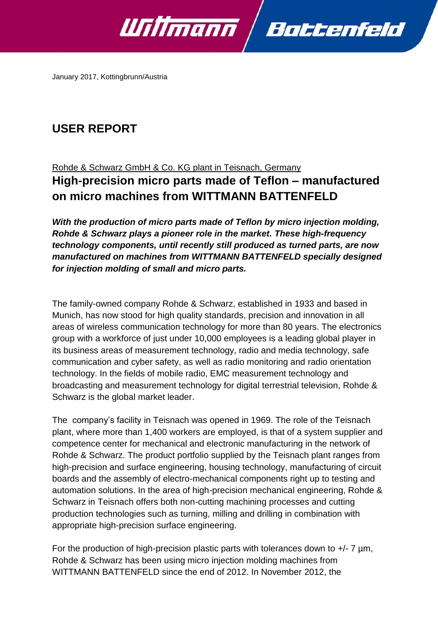

January 2017, Kottingbrunn/Austria

# **USER REPORT**

## Rohde & Schwarz GmbH & Co. KG plant in Teisnach, Germany **High-precision micro parts made of Teflon – manufactured on micro machines from WITTMANN BATTENFELD**

*With the production of micro parts made of Teflon by micro injection molding, Rohde & Schwarz plays a pioneer role in the market. These high-frequency technology components, until recently still produced as turned parts, are now manufactured on machines from WITTMANN BATTENFELD specially designed for injection molding of small and micro parts.*

The family-owned company Rohde & Schwarz, established in 1933 and based in Munich, has now stood for high quality standards, precision and innovation in all areas of wireless communication technology for more than 80 years. The electronics group with a workforce of just under 10,000 employees is a leading global player in its business areas of measurement technology, radio and media technology, safe communication and cyber safety, as well as radio monitoring and radio orientation technology. In the fields of mobile radio, EMC measurement technology and broadcasting and measurement technology for digital terrestrial television, Rohde & Schwarz is the global market leader.

The company's facility in Teisnach was opened in 1969. The role of the Teisnach plant, where more than 1,400 workers are employed, is that of a system supplier and competence center for mechanical and electronic manufacturing in the network of Rohde & Schwarz. The product portfolio supplied by the Teisnach plant ranges from high-precision and surface engineering, housing technology, manufacturing of circuit boards and the assembly of electro-mechanical components right up to testing and automation solutions. In the area of high-precision mechanical engineering, Rohde & Schwarz in Teisnach offers both non-cutting machining processes and cutting production technologies such as turning, milling and drilling in combination with appropriate high-precision surface engineering.

For the production of high-precision plastic parts with tolerances down to  $+/- 7 \mu m$ , Rohde & Schwarz has been using micro injection molding machines from WITTMANN BATTENFELD since the end of 2012. In November 2012, the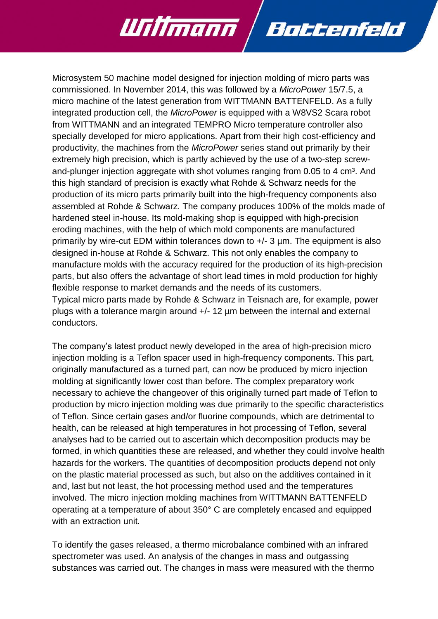

Battenfeld

Willmann

The company's latest product newly developed in the area of high-precision micro injection molding is a Teflon spacer used in high-frequency components. This part, originally manufactured as a turned part, can now be produced by micro injection molding at significantly lower cost than before. The complex preparatory work necessary to achieve the changeover of this originally turned part made of Teflon to production by micro injection molding was due primarily to the specific characteristics of Teflon. Since certain gases and/or fluorine compounds, which are detrimental to health, can be released at high temperatures in hot processing of Teflon, several analyses had to be carried out to ascertain which decomposition products may be formed, in which quantities these are released, and whether they could involve health hazards for the workers. The quantities of decomposition products depend not only on the plastic material processed as such, but also on the additives contained in it and, last but not least, the hot processing method used and the temperatures involved. The micro injection molding machines from WITTMANN BATTENFELD operating at a temperature of about 350° C are completely encased and equipped with an extraction unit.

To identify the gases released, a thermo microbalance combined with an infrared spectrometer was used. An analysis of the changes in mass and outgassing substances was carried out. The changes in mass were measured with the thermo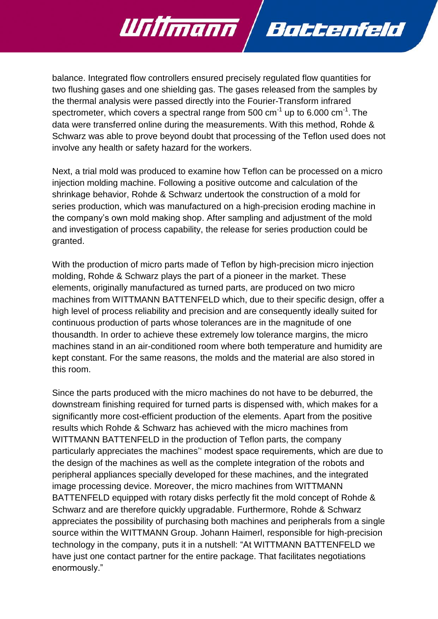balance. Integrated flow controllers ensured precisely regulated flow quantities for two flushing gases and one shielding gas. The gases released from the samples by the thermal analysis were passed directly into the Fourier-Transform infrared spectrometer, which covers a spectral range from 500 cm $^{-1}$  up to 6.000 cm $^{-1}$ . The data were transferred online during the measurements. With this method, Rohde & Schwarz was able to prove beyond doubt that processing of the Teflon used does not involve any health or safety hazard for the workers.

Battenfeld

Willmann

Next, a trial mold was produced to examine how Teflon can be processed on a micro injection molding machine. Following a positive outcome and calculation of the shrinkage behavior, Rohde & Schwarz undertook the construction of a mold for series production, which was manufactured on a high-precision eroding machine in the company's own mold making shop. After sampling and adjustment of the mold and investigation of process capability, the release for series production could be granted.

With the production of micro parts made of Teflon by high-precision micro injection molding, Rohde & Schwarz plays the part of a pioneer in the market. These elements, originally manufactured as turned parts, are produced on two micro machines from WITTMANN BATTENFELD which, due to their specific design, offer a high level of process reliability and precision and are consequently ideally suited for continuous production of parts whose tolerances are in the magnitude of one thousandth. In order to achieve these extremely low tolerance margins, the micro machines stand in an air-conditioned room where both temperature and humidity are kept constant. For the same reasons, the molds and the material are also stored in this room.

Since the parts produced with the micro machines do not have to be deburred, the downstream finishing required for turned parts is dispensed with, which makes for a significantly more cost-efficient production of the elements. Apart from the positive results which Rohde & Schwarz has achieved with the micro machines from WITTMANN BATTENFELD in the production of Teflon parts, the company particularly appreciates the machines'' modest space requirements, which are due to the design of the machines as well as the complete integration of the robots and peripheral appliances specially developed for these machines, and the integrated image processing device. Moreover, the micro machines from WITTMANN BATTENFELD equipped with rotary disks perfectly fit the mold concept of Rohde & Schwarz and are therefore quickly upgradable. Furthermore, Rohde & Schwarz appreciates the possibility of purchasing both machines and peripherals from a single source within the WITTMANN Group. Johann Haimerl, responsible for high-precision technology in the company, puts it in a nutshell: "At WITTMANN BATTENFELD we have just one contact partner for the entire package. That facilitates negotiations enormously."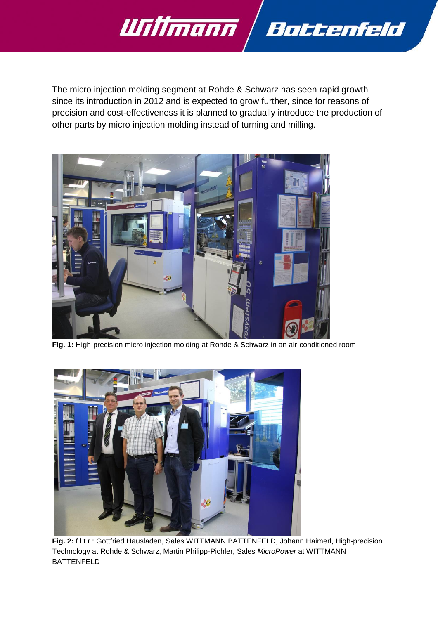

The micro injection molding segment at Rohde & Schwarz has seen rapid growth since its introduction in 2012 and is expected to grow further, since for reasons of precision and cost-effectiveness it is planned to gradually introduce the production of other parts by micro injection molding instead of turning and milling.



**Fig. 1:** High-precision micro injection molding at Rohde & Schwarz in an air-conditioned room



**Fig. 2:** f.l.t.r.: Gottfried Hausladen, Sales WITTMANN BATTENFELD, Johann Haimerl, High-precision Technology at Rohde & Schwarz, Martin Philipp-Pichler, Sales *MicroPower* at WITTMANN BATTENFELD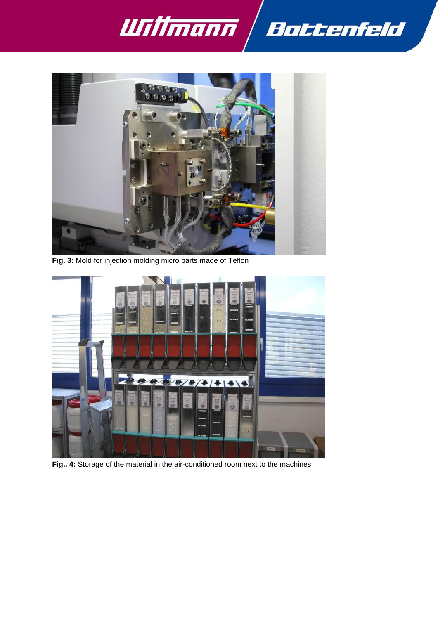



**Fig. 3:** Mold for injection molding micro parts made of Teflon



**Fig.. 4:** Storage of the material in the air-conditioned room next to the machines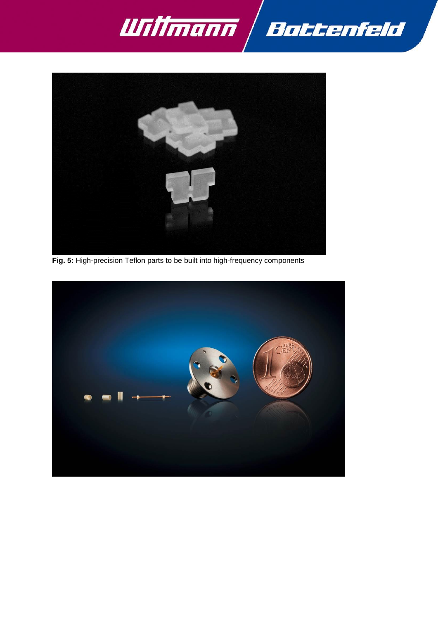



**Fig. 5:** High-precision Teflon parts to be built into high-frequency components

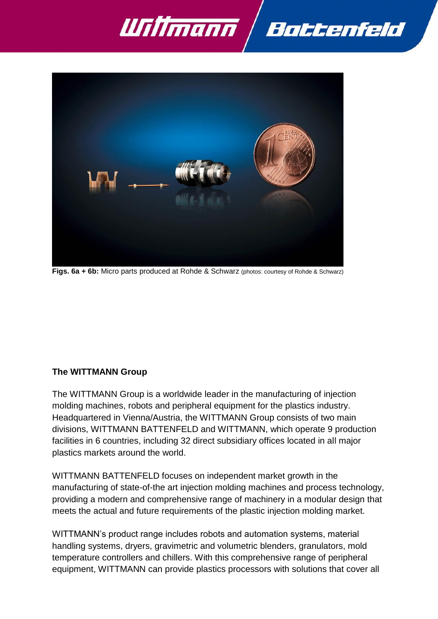



**Figs. 6a + 6b:** Micro parts produced at Rohde & Schwarz (photos: courtesy of Rohde & Schwarz)

#### **The WITTMANN Group**

The WITTMANN Group is a worldwide leader in the manufacturing of injection molding machines, robots and peripheral equipment for the plastics industry. Headquartered in Vienna/Austria, the WITTMANN Group consists of two main divisions, WITTMANN BATTENFELD and WITTMANN, which operate 9 production facilities in 6 countries, including 32 direct subsidiary offices located in all major plastics markets around the world.

WITTMANN BATTENFELD focuses on independent market growth in the manufacturing of state-of-the art injection molding machines and process technology, providing a modern and comprehensive range of machinery in a modular design that meets the actual and future requirements of the plastic injection molding market.

WITTMANN's product range includes robots and automation systems, material handling systems, dryers, gravimetric and volumetric blenders, granulators, mold temperature controllers and chillers. With this comprehensive range of peripheral equipment, WITTMANN can provide plastics processors with solutions that cover all